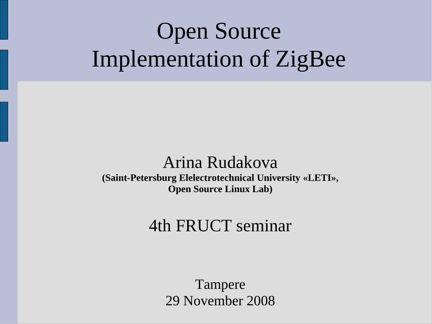# Open Source Implementation of ZigBee

### Arina Rudakova

**(Saint-Petersburg Elelectrotechnical University «LETI», Open Source Linux Lab)**

#### 4th FRUCT seminar

Tampere 29 November 2008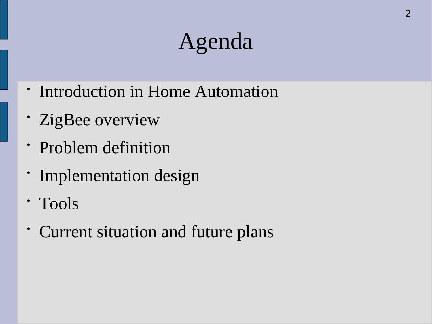# Agenda

- Introduction in Home Automation
- ZigBee overview
- Problem definition
- Implementation design
- Tools
- Current situation and future plans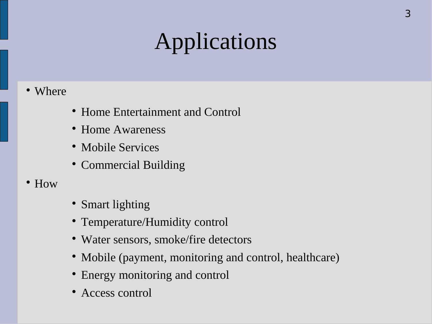# Applications

- Where
- Home Entertainment and Control
- Home Awareness
- Mobile Services
- Commercial Building
- How
- Smart lighting
- Temperature/Humidity control
- Water sensors, smoke/fire detectors
- Mobile (payment, monitoring and control, healthcare)
- Energy monitoring and control
- Access control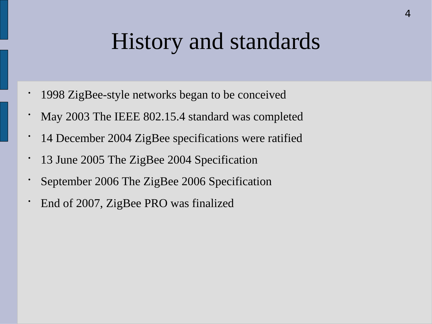## History and standards

- 1998 ZigBee-style networks began to be conceived
- May 2003 The IEEE 802.15.4 standard was completed
- 14 December 2004 ZigBee specifications were ratified
- 13 June 2005 The ZigBee 2004 Specification
- September 2006 The ZigBee 2006 Specification
- End of 2007, ZigBee PRO was finalized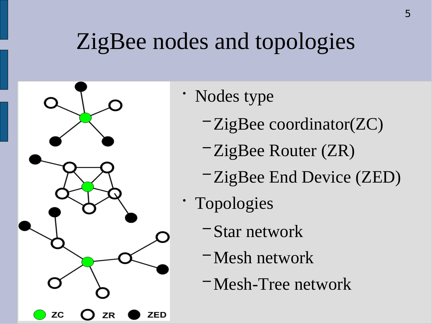## ZigBee nodes and topologies



- Nodes type
	- − ZigBee coordinator(ZC)
	- − ZigBee Router (ZR)
	- − ZigBee End Device (ZED)
- Topologies
	- − Star network
	- − Mesh network
	- − Mesh-Tree network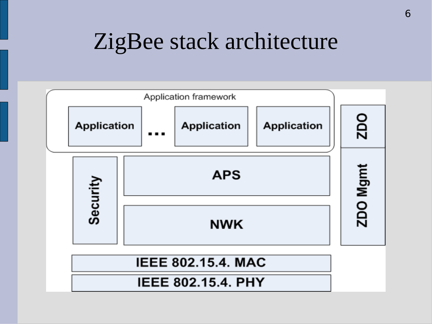## ZigBee stack architecture

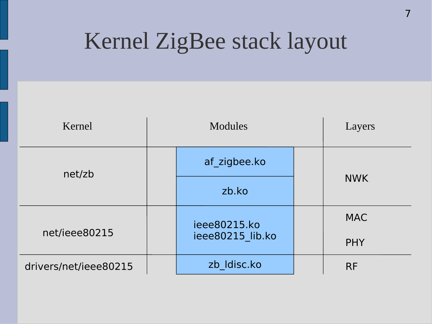## Kernel ZigBee stack layout

| Kernel                | <b>Modules</b> |                                  | Layers |            |  |
|-----------------------|----------------|----------------------------------|--------|------------|--|
| net/zb                |                | af zigbee.ko                     |        |            |  |
|                       |                | zb.ko                            |        | <b>NWK</b> |  |
| net/ieee80215         |                | ieee80215.ko<br>ieee80215 lib.ko |        | <b>MAC</b> |  |
|                       |                |                                  |        | <b>PHY</b> |  |
| drivers/net/ieee80215 |                | zb Idisc.ko                      |        | <b>RF</b>  |  |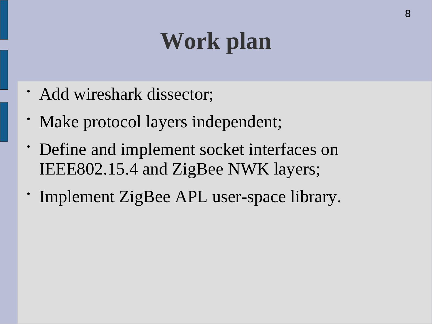# **Work plan**

- Add wireshark dissector;
- Make protocol layers independent;
- Define and implement socket interfaces on IEEE802.15.4 and ZigBee NWK layers;
- Implement ZigBee APL user-space library.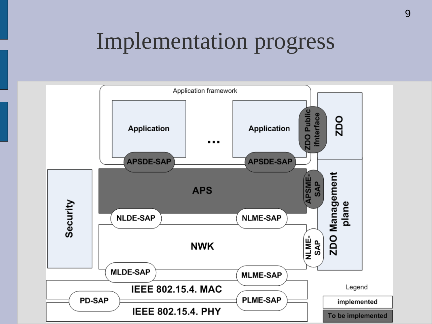#### Implementation progress

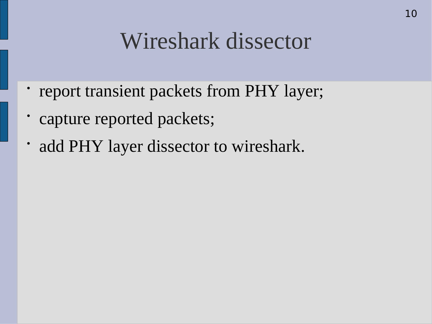## Wireshark dissector

- report transient packets from PHY layer;
- capture reported packets;
- add PHY layer dissector to wireshark.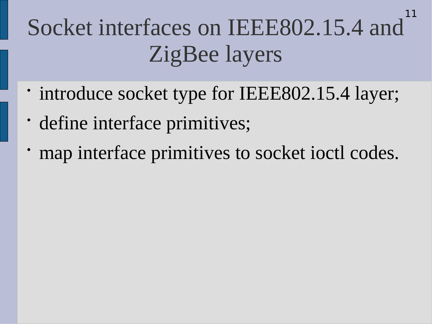#### Socket interfaces on IEEE802.15.4 and ZigBee layers 11

- introduce socket type for IEEE802.15.4 layer;
- define interface primitives;
- map interface primitives to socket ioctl codes.